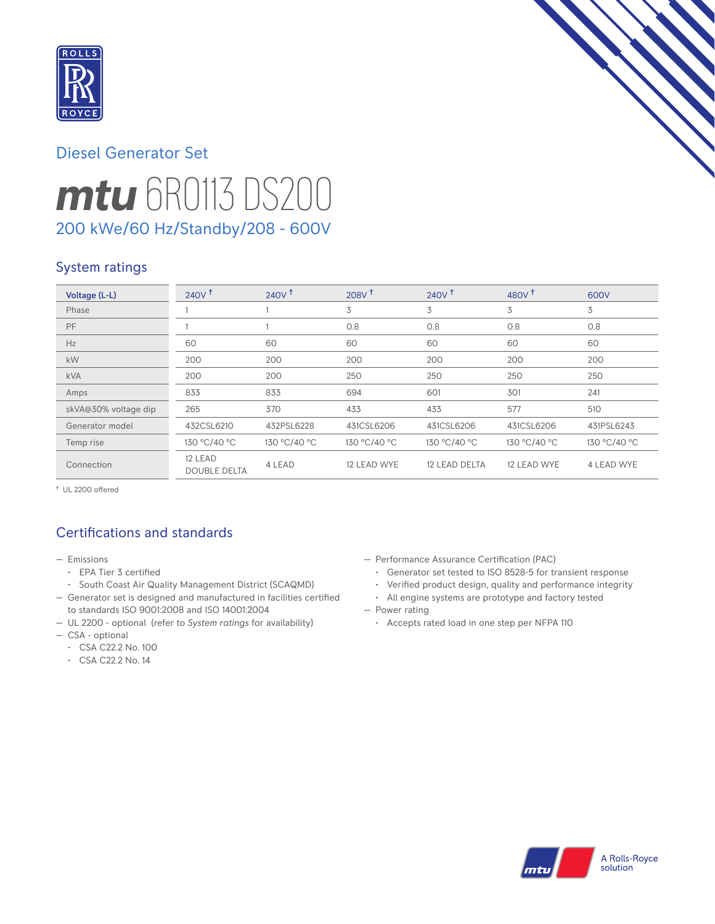

# *mtu* 6R0113 DS200 Diesel Generator Set 200 kWe/60 Hz/Standby/208 - 600V

## System ratings

| Voltage (L-L)        | 240V <sup>†</sup>              | 240V <sup>†</sup> | 208V <sup>†</sup> | 240V <sup>†</sup> | 480 $V†$     | 600V         |
|----------------------|--------------------------------|-------------------|-------------------|-------------------|--------------|--------------|
| Phase                |                                |                   | 3                 | 3                 | 3            | 3            |
| PF                   |                                |                   | 0.8               | 0.8               | 0.8          | 0.8          |
| Hz                   | 60                             | 60                | 60                | 60                | 60           | 60           |
| <b>kW</b>            | 200                            | 200               | 200               | 200               | 200          | 200          |
| <b>kVA</b>           | 200                            | 200               | 250               | 250               | 250          | 250          |
| Amps                 | 833                            | 833               | 694               | 601               | 301          | 241          |
| skVA@30% voltage dip | 265                            | 370               | 433               | 433               | 577          | 510          |
| Generator model      | 432CSL6210                     | 432PSL6228        | 431CSL6206        | 431CSL6206        | 431CSL6206   | 431PSL6243   |
| Temp rise            | 130 °C/40 °C                   | 130 °C/40 °C      | 130 °C/40 °C      | 130 °C/40 °C      | 130 °C/40 °C | 130 °C/40 °C |
| Connection           | 12 LEAD<br><b>DOUBLE DELTA</b> | 4 LEAD            | 12 LEAD WYE       | 12 LEAD DELTA     | 12 LEAD WYE  | 4 LEAD WYE   |

† UL 2200 offered

# Certifications and standards

- Emissions
	- EPA Tier 3 certified
	- South Coast Air Quality Management District (SCAQMD)
- Generator set is designed and manufactured in facilities certified to standards ISO 9001:2008 and ISO 14001:2004
- UL 2200 optional (refer to *System ratings* for availability)
- CSA optional
- CSA C22.2 No. 100
- CSA C22.2 No. 14
- Performance Assurance Certification (PAC)
	- Generator set tested to ISO 8528-5 for transient response
	- Verified product design, quality and performance integrity
	- All engine systems are prototype and factory tested
- Power rating
	- Accepts rated load in one step per NFPA 110

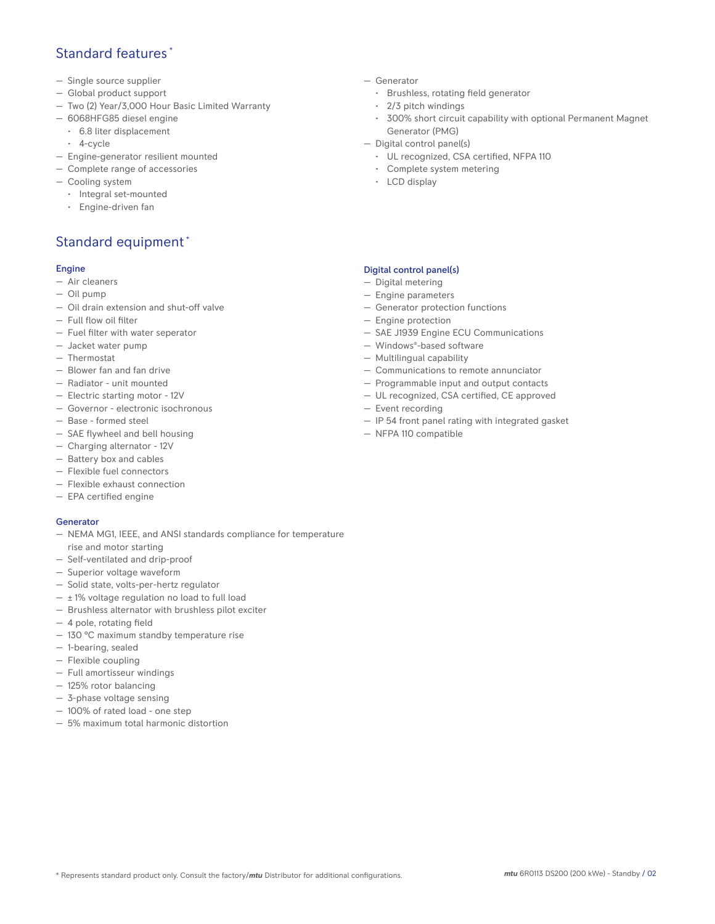## Standard features \*

- Single source supplier
- Global product support
- Two (2) Year/3,000 Hour Basic Limited Warranty
- 6068HFG85 diesel engine
	- 6.8 liter displacement
	- 4-cycle
- Engine-generator resilient mounted
- Complete range of accessories
- Cooling system
	- Integral set-mounted
	- Engine-driven fan

# Standard equipment \*

#### Engine

- Air cleaners
- Oil pump
- Oil drain extension and shut-off valve
- Full flow oil filter
- Fuel filter with water seperator
- Jacket water pump
- Thermostat
- Blower fan and fan drive
- Radiator unit mounted
- Electric starting motor 12V
- Governor electronic isochronous
- Base formed steel
- SAE flywheel and bell housing
- Charging alternator 12V
- Battery box and cables
- Flexible fuel connectors
- Flexible exhaust connection
- EPA certified engine

#### Generator

- NEMA MG1, IEEE, and ANSI standards compliance for temperature rise and motor starting
- Self-ventilated and drip-proof
- Superior voltage waveform
- Solid state, volts-per-hertz regulator
- $\pm$  1% voltage regulation no load to full load
- Brushless alternator with brushless pilot exciter
- 4 pole, rotating field
- 130 °C maximum standby temperature rise
- 1-bearing, sealed
- Flexible coupling
- Full amortisseur windings
- 125% rotor balancing
- 3-phase voltage sensing
- 100% of rated load one step
- 5% maximum total harmonic distortion
- Generator
	- Brushless, rotating field generator
	- 2/3 pitch windings
	- 300% short circuit capability with optional Permanent Magnet Generator (PMG)
- Digital control panel(s)
	- UL recognized, CSA certified, NFPA 110
	- Complete system metering
	- LCD display

#### Digital control panel(s)

- Digital metering
- Engine parameters
- Generator protection functions
- Engine protection
- SAE J1939 Engine ECU Communications
- Windows®-based software
- Multilingual capability
- Communications to remote annunciator
- Programmable input and output contacts
- UL recognized, CSA certified, CE approved
- Event recording
- IP 54 front panel rating with integrated gasket
- NFPA 110 compatible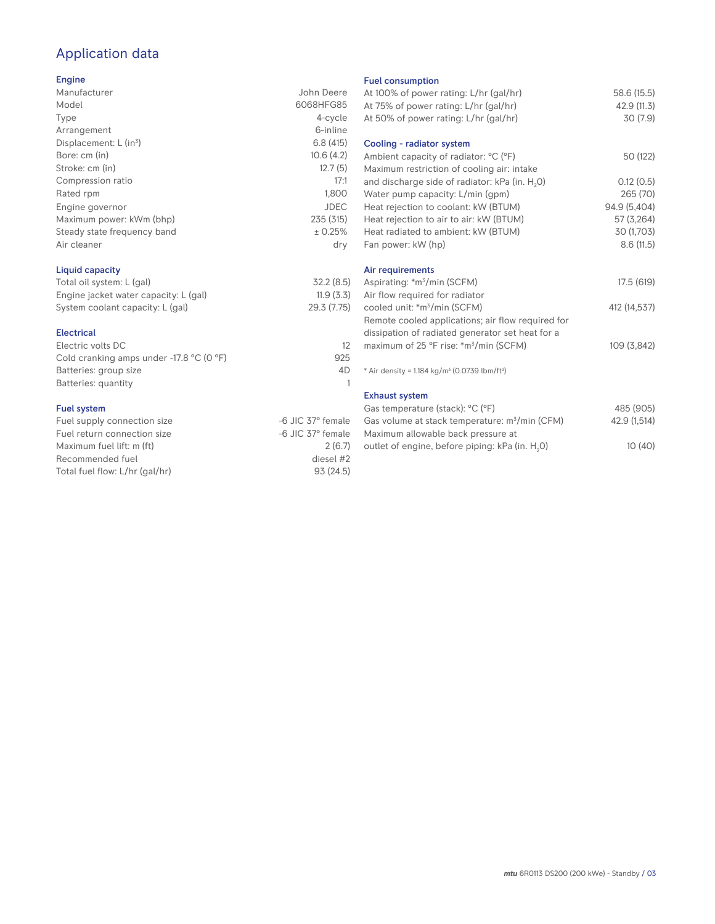# Application data

#### Engine

| Manufacturer                         | John Deere  |
|--------------------------------------|-------------|
| Model                                | 6068HFG85   |
| Type                                 | 4-cycle     |
| Arrangement                          | 6-inline    |
| Displacement: $L$ (in <sup>3</sup> ) | 6.8(415)    |
| Bore: cm (in)                        | 10.6(4.2)   |
| Stroke: cm (in)                      | 12.7(5)     |
| Compression ratio                    | 17:1        |
| Rated rpm                            | 1,800       |
| Engine governor                      | <b>JDEC</b> |
| Maximum power: kWm (bhp)             | 235 (315)   |
| Steady state frequency band          | ± 0.25%     |
| Air cleaner                          | dry         |
|                                      |             |

### Liquid capacity

| Total oil system: L (gal)             | 32.2(8.5)   |
|---------------------------------------|-------------|
| Engine jacket water capacity: L (gal) | 11.9(3.3)   |
| System coolant capacity: L (gal)      | 29.3 (7.75) |

#### Electrical

| Electric volts DC                                            |     |
|--------------------------------------------------------------|-----|
| Cold cranking amps under -17.8 $^{\circ}$ C (O $^{\circ}$ F) | 925 |
| Batteries: group size                                        | 4D  |
| Batteries: quantity                                          |     |
|                                                              |     |

#### Fuel system

| -6 JIC 37° female |
|-------------------|
| -6 JIC 37° female |
| 2(6.7)            |
| diesel #2         |
| 93(24.5)          |
|                   |

#### Fuel consumption

| At 100% of power rating: L/hr (gal/hr)<br>At 75% of power rating: L/hr (gal/hr)<br>At 50% of power rating: L/hr (gal/hr) | 58.6 (15.5)<br>42.9 (11.3)<br>30(7.9) |
|--------------------------------------------------------------------------------------------------------------------------|---------------------------------------|
| Cooling - radiator system                                                                                                |                                       |
| Ambient capacity of radiator: °C (°F)                                                                                    | 50 (122)                              |
| Maximum restriction of cooling air: intake                                                                               |                                       |
| and discharge side of radiator: kPa (in. H <sub>2</sub> 0)                                                               | 0.12(0.5)                             |
| Water pump capacity: L/min (gpm)                                                                                         | 265 (70)                              |
| Heat rejection to coolant: kW (BTUM)                                                                                     | 94.9 (5,404)                          |
| Heat rejection to air to air: kW (BTUM)                                                                                  | 57 (3,264)                            |
| Heat radiated to ambient: kW (BTUM)                                                                                      | 30 (1,703)                            |
| Fan power: kW (hp)                                                                                                       | 8.6(11.5)                             |
|                                                                                                                          |                                       |
| Air requirements                                                                                                         |                                       |
| Aspirating: *m <sup>3</sup> /min (SCFM)                                                                                  | 17.5 (619)                            |
| Air flow required for radiator                                                                                           |                                       |
| cooled unit: *m <sup>3</sup> /min (SCFM)                                                                                 | 412 (14,537)                          |
| Remote cooled applications; air flow required for                                                                        |                                       |
| dissipation of radiated generator set heat for a                                                                         |                                       |
| maximum of 25 °F rise: *m <sup>3</sup> /min (SCFM)                                                                       | 109 (3,842)                           |
| * Air density = $1.184 \text{ kg/m}^3$ (0.0739 lbm/ft <sup>3</sup> )                                                     |                                       |
| <b>Exhaust system</b>                                                                                                    |                                       |
| Gas temperature (stack): °C (°F)                                                                                         | 485 (905)                             |
| Gas volume at stack temperature: m <sup>3</sup> /min (CFM)                                                               | 42.9 (1,514)                          |
| Maximum allowable back pressure at                                                                                       |                                       |
| outlet of engine, before piping: kPa (in. H <sub>2</sub> 0)                                                              | 10(40)                                |
|                                                                                                                          |                                       |